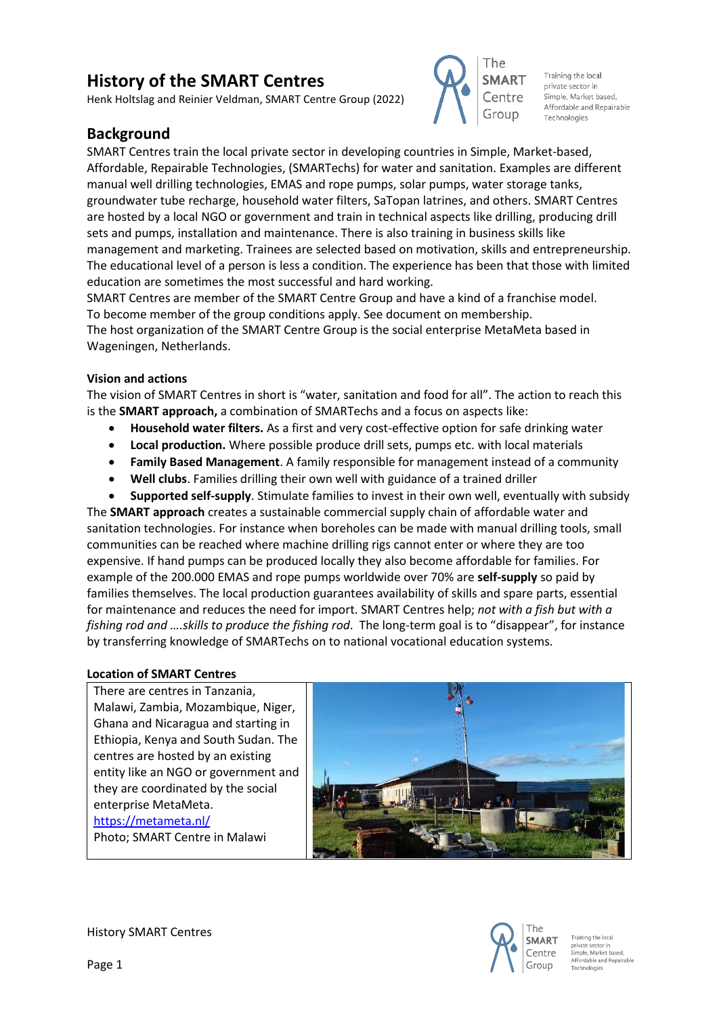# **History of the SMART Centres**

Henk Holtslag and Reinier Veldman, SMART Centre Group (2022)

## **Background**

SMART Centres train the local private sector in developing countries in Simple, Market-based, Affordable, Repairable Technologies, (SMARTechs) for water and sanitation. Examples are different manual well drilling technologies, EMAS and rope pumps, solar pumps, water storage tanks, groundwater tube recharge, household water filters, SaTopan latrines, and others. SMART Centres are hosted by a local NGO or government and train in technical aspects like drilling, producing drill sets and pumps, installation and maintenance. There is also training in business skills like management and marketing. Trainees are selected based on motivation, skills and entrepreneurship. The educational level of a person is less a condition. The experience has been that those with limited education are sometimes the most successful and hard working.

The

**SMART** 

Centre

Group

Training the local

Simple, Market based, Affordable and Repairable

private sector in

Technologies

SMART Centres are member of the SMART Centre Group and have a kind of a franchise model. To become member of the group conditions apply. See document on membership. The host organization of the SMART Centre Group is the social enterprise MetaMeta based in Wageningen, Netherlands.

#### **Vision and actions**

The vision of SMART Centres in short is "water, sanitation and food for all". The action to reach this is the **SMART approach,** a combination of SMARTechs and a focus on aspects like:

- **Household water filters.** As a first and very cost-effective option for safe drinking water
- **Local production.** Where possible produce drill sets, pumps etc. with local materials
- **Family Based Management**. A family responsible for management instead of a community
- **Well clubs**. Families drilling their own well with guidance of a trained driller

• **Supported self-supply**. Stimulate families to invest in their own well, eventually with subsidy The **SMART approach** creates a sustainable commercial supply chain of affordable water and sanitation technologies. For instance when boreholes can be made with manual drilling tools, small communities can be reached where machine drilling rigs cannot enter or where they are too expensive. If hand pumps can be produced locally they also become affordable for families. For example of the 200.000 EMAS and rope pumps worldwide over 70% are **self-supply** so paid by families themselves. The local production guarantees availability of skills and spare parts, essential for maintenance and reduces the need for import. SMART Centres help; *not with a fish but with a fishing rod and ….skills to produce the fishing rod*. The long-term goal is to "disappear", for instance by transferring knowledge of SMARTechs on to national vocational education systems.

## **Location of SMART Centres**

There are centres in Tanzania, Malawi, Zambia, Mozambique, Niger, Ghana and Nicaragua and starting in Ethiopia, Kenya and South Sudan. The centres are hosted by an existing entity like an NGO or government and they are coordinated by the social enterprise MetaMeta. <https://metameta.nl/> Photo; SMART Centre in Malawi





Training the local Affordable and Repairable Technologies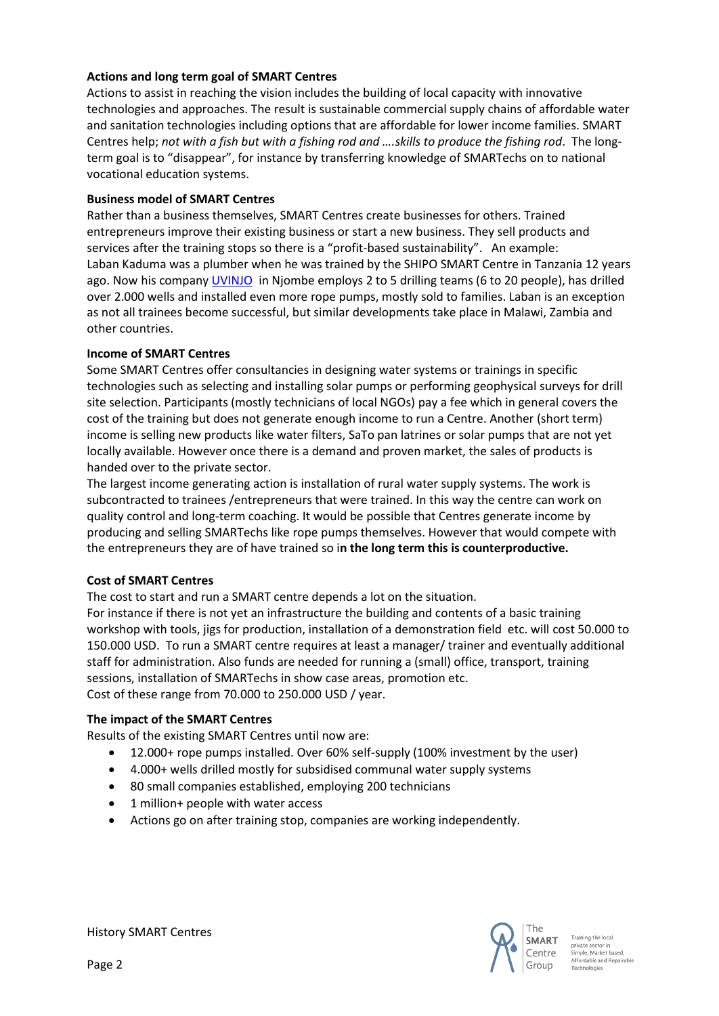## **Actions and long term goal of SMART Centres**

Actions to assist in reaching the vision includes the building of local capacity with innovative technologies and approaches. The result is sustainable commercial supply chains of affordable water and sanitation technologies including options that are affordable for lower income families. SMART Centres help; *not with a fish but with a fishing rod and ….skills to produce the fishing rod*. The longterm goal is to "disappear", for instance by transferring knowledge of SMARTechs on to national vocational education systems.

## **Business model of SMART Centres**

Rather than a business themselves, SMART Centres create businesses for others. Trained entrepreneurs improve their existing business or start a new business. They sell products and services after the training stops so there is a "profit-based sustainability". An example: Laban Kaduma was a plumber when he was trained by the SHIPO SMART Centre in Tanzania 12 years ago. Now his compan[y UVINJO](https://uvinjo.com/) in Njombe employs 2 to 5 drilling teams (6 to 20 people), has drilled over 2.000 wells and installed even more rope pumps, mostly sold to families. Laban is an exception as not all trainees become successful, but similar developments take place in Malawi, Zambia and other countries.

## **Income of SMART Centres**

Some SMART Centres offer consultancies in designing water systems or trainings in specific technologies such as selecting and installing solar pumps or performing geophysical surveys for drill site selection. Participants (mostly technicians of local NGOs) pay a fee which in general covers the cost of the training but does not generate enough income to run a Centre. Another (short term) income is selling new products like water filters, SaTo pan latrines or solar pumps that are not yet locally available. However once there is a demand and proven market, the sales of products is handed over to the private sector.

The largest income generating action is installation of rural water supply systems. The work is subcontracted to trainees /entrepreneurs that were trained. In this way the centre can work on quality control and long-term coaching. It would be possible that Centres generate income by producing and selling SMARTechs like rope pumps themselves. However that would compete with the entrepreneurs they are of have trained so i**n the long term this is counterproductive.** 

#### **Cost of SMART Centres**

The cost to start and run a SMART centre depends a lot on the situation.

For instance if there is not yet an infrastructure the building and contents of a basic training workshop with tools, jigs for production, installation of a demonstration field etc. will cost 50.000 to 150.000 USD. To run a SMART centre requires at least a manager/ trainer and eventually additional staff for administration. Also funds are needed for running a (small) office, transport, training sessions, installation of SMARTechs in show case areas, promotion etc. Cost of these range from 70.000 to 250.000 USD / year.

#### **The impact of the SMART Centres**

Results of the existing SMART Centres until now are:

- 12.000+ rope pumps installed. Over 60% self-supply (100% investment by the user)
- 4.000+ wells drilled mostly for subsidised communal water supply systems
- 80 small companies established, employing 200 technicians
- 1 million+ people with water access
- Actions go on after training stop, companies are working independently.



Training the local private sector in<br>Simple, Market based, Affordable and Repairable Technologies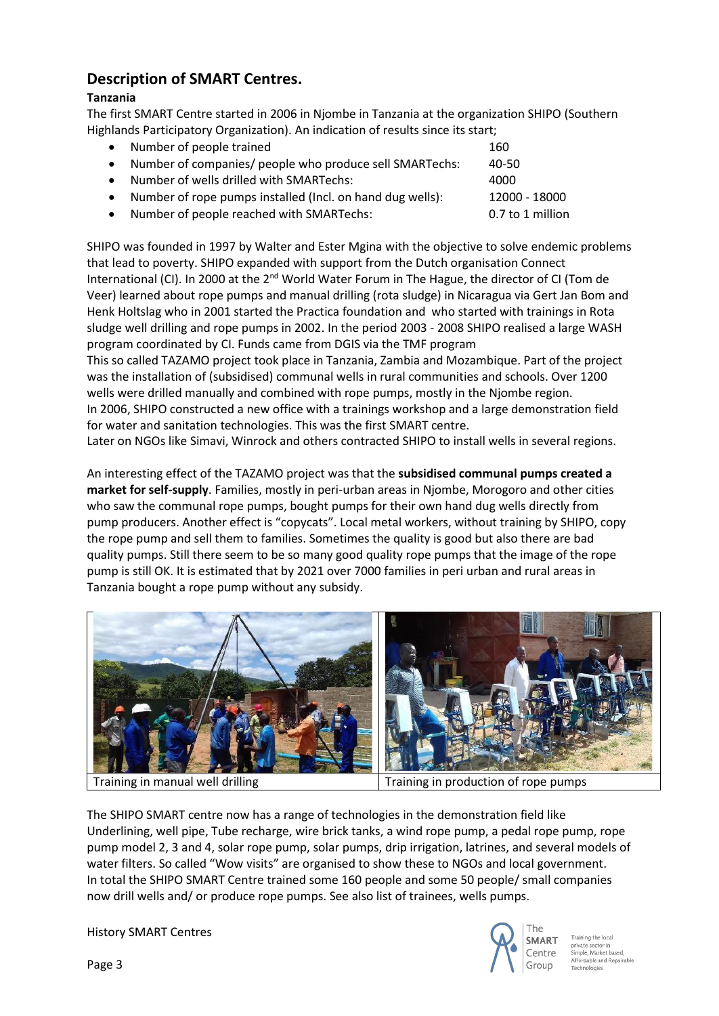## **Description of SMART Centres.**

## **Tanzania**

The first SMART Centre started in 2006 in Njombe in Tanzania at the organization SHIPO (Southern Highlands Participatory Organization). An indication of results since its start;

| $\bullet$ | Number of people trained                                  | 160              |
|-----------|-----------------------------------------------------------|------------------|
|           | Number of companies/ people who produce sell SMARTechs:   | 40-50            |
|           | Number of wells drilled with SMARTechs:                   | 4000             |
|           | Number of rope pumps installed (Incl. on hand dug wells): | 12000 - 18000    |
|           | Number of people reached with SMARTechs:                  | 0.7 to 1 million |
|           |                                                           |                  |

SHIPO was founded in 1997 by Walter and Ester Mgina with the objective to solve endemic problems that lead to poverty. SHIPO expanded with support from the Dutch organisation Connect International (CI). In 2000 at the 2<sup>nd</sup> World Water Forum in The Hague, the director of CI (Tom de Veer) learned about rope pumps and manual drilling (rota sludge) in Nicaragua via Gert Jan Bom and Henk Holtslag who in 2001 started the Practica foundation and who started with trainings in Rota sludge well drilling and rope pumps in 2002. In the period 2003 - 2008 SHIPO realised a large WASH program coordinated by CI. Funds came from DGIS via the TMF program

This so called TAZAMO project took place in Tanzania, Zambia and Mozambique. Part of the project was the installation of (subsidised) communal wells in rural communities and schools. Over 1200 wells were drilled manually and combined with rope pumps, mostly in the Njombe region. In 2006, SHIPO constructed a new office with a trainings workshop and a large demonstration field for water and sanitation technologies. This was the first SMART centre.

Later on NGOs like Simavi, Winrock and others contracted SHIPO to install wells in several regions.

An interesting effect of the TAZAMO project was that the **subsidised communal pumps created a market for self-supply**. Families, mostly in peri-urban areas in Njombe, Morogoro and other cities who saw the communal rope pumps, bought pumps for their own hand dug wells directly from pump producers. Another effect is "copycats". Local metal workers, without training by SHIPO, copy the rope pump and sell them to families. Sometimes the quality is good but also there are bad quality pumps. Still there seem to be so many good quality rope pumps that the image of the rope pump is still OK. It is estimated that by 2021 over 7000 families in peri urban and rural areas in Tanzania bought a rope pump without any subsidy.



Training in manual well drilling Training in production of rope pumps

The SHIPO SMART centre now has a range of technologies in the demonstration field like Underlining, well pipe, Tube recharge, wire brick tanks, a wind rope pump, a pedal rope pump, rope pump model 2, 3 and 4, solar rope pump, solar pumps, drip irrigation, latrines, and several models of water filters. So called "Wow visits" are organised to show these to NGOs and local government. In total the SHIPO SMART Centre trained some 160 people and some 50 people/ small companies now drill wells and/ or produce rope pumps. See also list of trainees, wells pumps.

History SMART Centres



.<br>rivate sector in<br>imple, Market based, Affordable and Repairable Technologies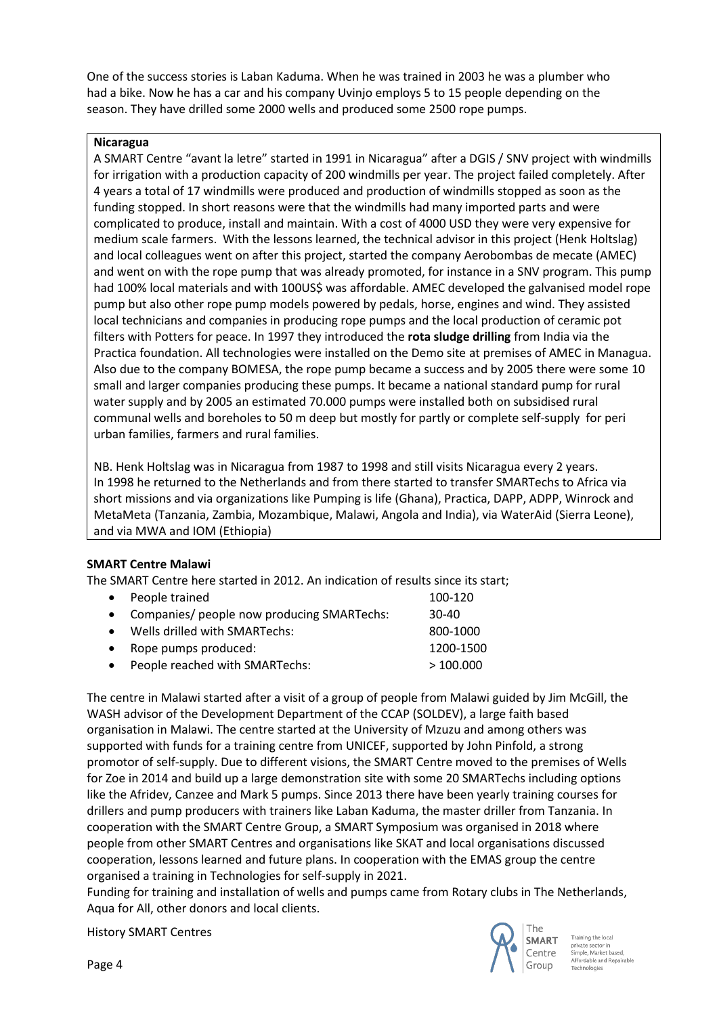One of the success stories is Laban Kaduma. When he was trained in 2003 he was a plumber who had a bike. Now he has a car and his company Uvinjo employs 5 to 15 people depending on the season. They have drilled some 2000 wells and produced some 2500 rope pumps.

#### **Nicaragua**

A SMART Centre "avant la letre" started in 1991 in Nicaragua" after a DGIS / SNV project with windmills for irrigation with a production capacity of 200 windmills per year. The project failed completely. After 4 years a total of 17 windmills were produced and production of windmills stopped as soon as the funding stopped. In short reasons were that the windmills had many imported parts and were complicated to produce, install and maintain. With a cost of 4000 USD they were very expensive for medium scale farmers. With the lessons learned, the technical advisor in this project (Henk Holtslag) and local colleagues went on after this project, started the company Aerobombas de mecate (AMEC) and went on with the rope pump that was already promoted, for instance in a SNV program. This pump had 100% local materials and with 100US\$ was affordable. AMEC developed the galvanised model rope pump but also other rope pump models powered by pedals, horse, engines and wind. They assisted local technicians and companies in producing rope pumps and the local production of ceramic pot filters with Potters for peace. In 1997 they introduced the **rota sludge drilling** from India via the Practica foundation. All technologies were installed on the Demo site at premises of AMEC in Managua. Also due to the company BOMESA, the rope pump became a success and by 2005 there were some 10 small and larger companies producing these pumps. It became a national standard pump for rural water supply and by 2005 an estimated 70.000 pumps were installed both on subsidised rural communal wells and boreholes to 50 m deep but mostly for partly or complete self-supply for peri urban families, farmers and rural families.

NB. Henk Holtslag was in Nicaragua from 1987 to 1998 and still visits Nicaragua every 2 years. In 1998 he returned to the Netherlands and from there started to transfer SMARTechs to Africa via short missions and via organizations like Pumping is life (Ghana), Practica, DAPP, ADPP, Winrock and MetaMeta (Tanzania, Zambia, Mozambique, Malawi, Angola and India), via WaterAid (Sierra Leone), and via MWA and IOM (Ethiopia)

## **SMART Centre Malawi**

The SMART Centre here started in 2012. An indication of results since its start;

| $\bullet$ | People trained                               | 100-120   |
|-----------|----------------------------------------------|-----------|
|           | • Companies/ people now producing SMARTechs: | 30-40     |
|           | • Wells drilled with SMARTechs:              | 800-1000  |
| $\bullet$ | Rope pumps produced:                         | 1200-1500 |
| $\bullet$ | People reached with SMARTechs:               | >100.000  |

The centre in Malawi started after a visit of a group of people from Malawi guided by Jim McGill, the WASH advisor of the Development Department of the CCAP (SOLDEV), a large faith based organisation in Malawi. The centre started at the University of Mzuzu and among others was supported with funds for a training centre from UNICEF, supported by John Pinfold, a strong promotor of self-supply. Due to different visions, the SMART Centre moved to the premises of Wells for Zoe in 2014 and build up a large demonstration site with some 20 SMARTechs including options like the Afridev, Canzee and Mark 5 pumps. Since 2013 there have been yearly training courses for drillers and pump producers with trainers like Laban Kaduma, the master driller from Tanzania. In cooperation with the SMART Centre Group, a SMART Symposium was organised in 2018 where people from other SMART Centres and organisations like SKAT and local organisations discussed cooperation, lessons learned and future plans. In cooperation with the EMAS group the centre organised a training in Technologies for self-supply in 2021.

Funding for training and installation of wells and pumps came from Rotary clubs in The Netherlands, Aqua for All, other donors and local clients.

History SMART Centres



Training the local private sector in<br>Simple, Market based, Affordable and Repairable Technologies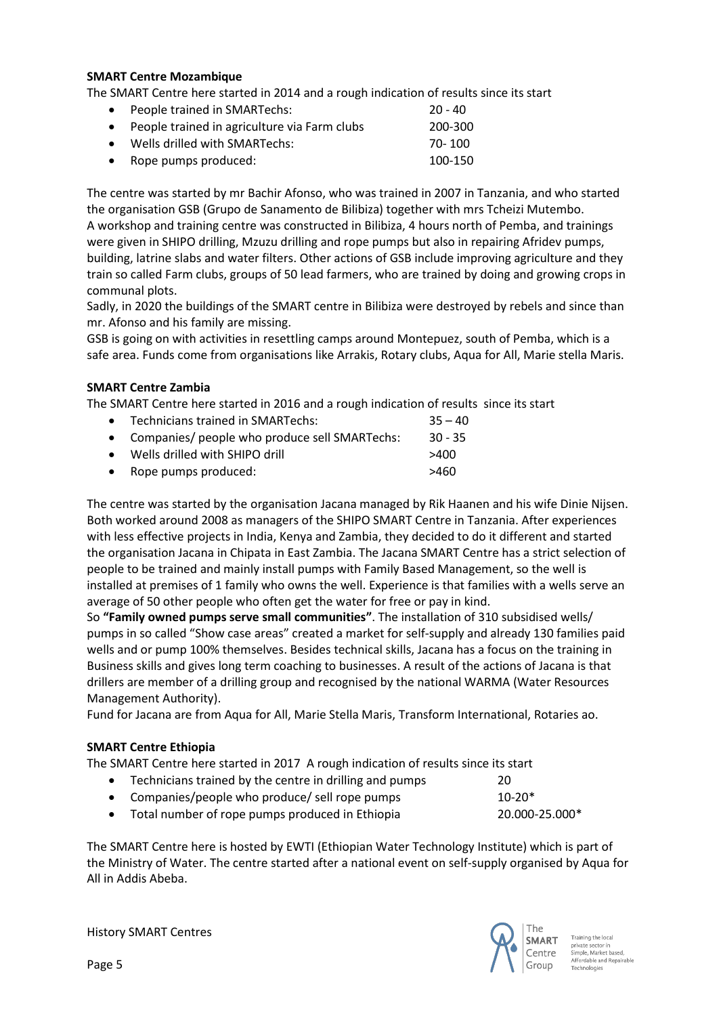#### **SMART Centre Mozambique**

The SMART Centre here started in 2014 and a rough indication of results since its start

• People trained in SMARTechs: 20 - 40 • People trained in agriculture via Farm clubs 200-300 • Wells drilled with SMARTechs: 70- 100 • Rope pumps produced: 100-150

The centre was started by mr Bachir Afonso, who was trained in 2007 in Tanzania, and who started the organisation GSB (Grupo de Sanamento de Bilibiza) together with mrs Tcheizi Mutembo. A workshop and training centre was constructed in Bilibiza, 4 hours north of Pemba, and trainings were given in SHIPO drilling, Mzuzu drilling and rope pumps but also in repairing Afridev pumps, building, latrine slabs and water filters. Other actions of GSB include improving agriculture and they train so called Farm clubs, groups of 50 lead farmers, who are trained by doing and growing crops in communal plots.

Sadly, in 2020 the buildings of the SMART centre in Bilibiza were destroyed by rebels and since than mr. Afonso and his family are missing.

GSB is going on with activities in resettling camps around Montepuez, south of Pemba, which is a safe area. Funds come from organisations like Arrakis, Rotary clubs, Aqua for All, Marie stella Maris.

#### **SMART Centre Zambia**

The SMART Centre here started in 2016 and a rough indication of results since its start

• Technicians trained in SMARTechs: 35 – 40 • Companies/ people who produce sell SMARTechs: 30 - 35 • Wells drilled with SHIPO drill >400 • Rope pumps produced:  $>460$ 

The centre was started by the organisation Jacana managed by Rik Haanen and his wife Dinie Nijsen. Both worked around 2008 as managers of the SHIPO SMART Centre in Tanzania. After experiences with less effective projects in India, Kenya and Zambia, they decided to do it different and started the organisation Jacana in Chipata in East Zambia. The Jacana SMART Centre has a strict selection of people to be trained and mainly install pumps with Family Based Management, so the well is installed at premises of 1 family who owns the well. Experience is that families with a wells serve an average of 50 other people who often get the water for free or pay in kind.

So **"Family owned pumps serve small communities"**. The installation of 310 subsidised wells/ pumps in so called "Show case areas" created a market for self-supply and already 130 families paid wells and or pump 100% themselves. Besides technical skills, Jacana has a focus on the training in Business skills and gives long term coaching to businesses. A result of the actions of Jacana is that drillers are member of a drilling group and recognised by the national WARMA (Water Resources Management Authority).

Fund for Jacana are from Aqua for All, Marie Stella Maris, Transform International, Rotaries ao.

#### **SMART Centre Ethiopia**

The SMART Centre here started in 2017 A rough indication of results since its start

- Technicians trained by the centre in drilling and pumps 20
- Companies/people who produce/ sell rope pumps 10-20\*
- Total number of rope pumps produced in Ethiopia 20.000-25.000\*

The SMART Centre here is hosted by EWTI (Ethiopian Water Technology Institute) which is part of the Ministry of Water. The centre started after a national event on self-supply organised by Aqua for All in Addis Abeba.

History SMART Centres



private sector in<br>Simple, Market based, Affordable and Repairable Technologies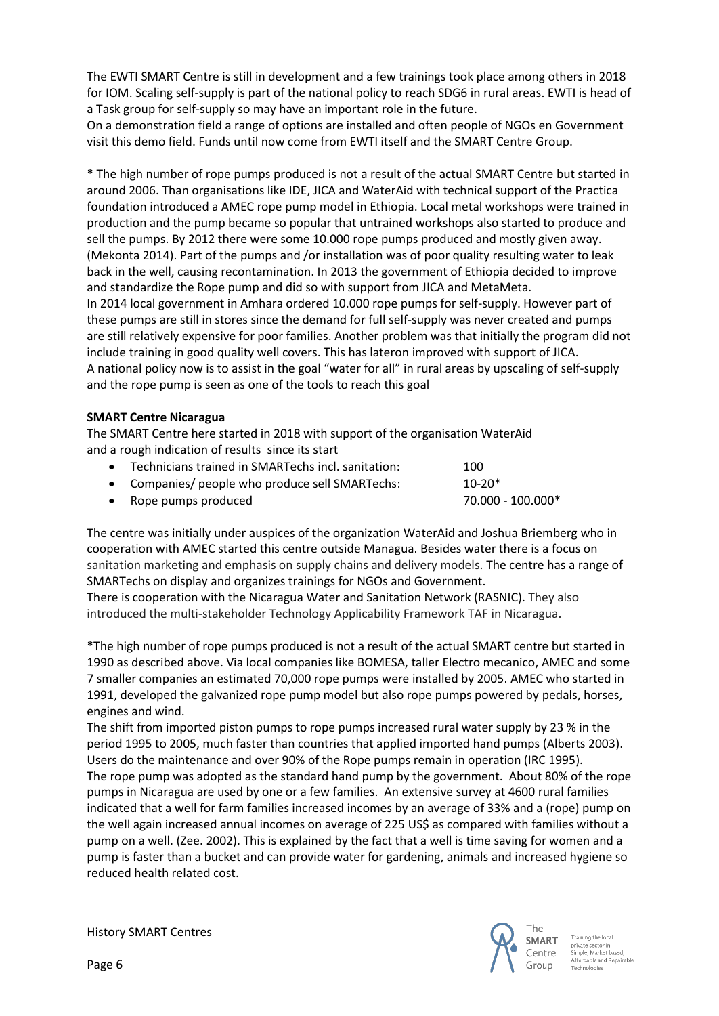The EWTI SMART Centre is still in development and a few trainings took place among others in 2018 for IOM. Scaling self-supply is part of the national policy to reach SDG6 in rural areas. EWTI is head of a Task group for self-supply so may have an important role in the future.

On a demonstration field a range of options are installed and often people of NGOs en Government visit this demo field. Funds until now come from EWTI itself and the SMART Centre Group.

\* The high number of rope pumps produced is not a result of the actual SMART Centre but started in around 2006. Than organisations like IDE, JICA and WaterAid with technical support of the Practica foundation introduced a AMEC rope pump model in Ethiopia. Local metal workshops were trained in production and the pump became so popular that untrained workshops also started to produce and sell the pumps. By 2012 there were some 10.000 rope pumps produced and mostly given away. (Mekonta 2014). Part of the pumps and /or installation was of poor quality resulting water to leak back in the well, causing recontamination. In 2013 the government of Ethiopia decided to improve and standardize the Rope pump and did so with support from JICA and MetaMeta.

In 2014 local government in Amhara ordered 10.000 rope pumps for self-supply. However part of these pumps are still in stores since the demand for full self-supply was never created and pumps are still relatively expensive for poor families. Another problem was that initially the program did not include training in good quality well covers. This has lateron improved with support of JICA. A national policy now is to assist in the goal "water for all" in rural areas by upscaling of self-supply and the rope pump is seen as one of the tools to reach this goal

#### **SMART Centre Nicaragua**

The SMART Centre here started in 2018 with support of the organisation WaterAid and a rough indication of results since its start

| • Technicians trained in SMARTechs incl. sanitation: | 100               |
|------------------------------------------------------|-------------------|
| • Companies/ people who produce sell SMARTechs:      | $10-20*$          |
| • Rope pumps produced                                | 70.000 - 100.000* |

The centre was initially under auspices of the organization WaterAid and Joshua Briemberg who in cooperation with AMEC started this centre outside Managua. Besides water there is a focus on sanitation marketing and emphasis on supply chains and delivery models. The centre has a range of SMARTechs on display and organizes trainings for NGOs and Government.

There is cooperation with the Nicaragua Water and Sanitation Network (RASNIC). They also introduced the multi-stakeholder Technology Applicability Framework TAF in Nicaragua.

\*The high number of rope pumps produced is not a result of the actual SMART centre but started in 1990 as described above. Via local companies like BOMESA, taller Electro mecanico, AMEC and some 7 smaller companies an estimated 70,000 rope pumps were installed by 2005. AMEC who started in 1991, developed the galvanized rope pump model but also rope pumps powered by pedals, horses, engines and wind.

The shift from imported piston pumps to rope pumps increased rural water supply by 23 % in the period 1995 to 2005, much faster than countries that applied imported hand pumps (Alberts 2003). Users do the maintenance and over 90% of the Rope pumps remain in operation (IRC 1995). The rope pump was adopted as the standard hand pump by the government. About 80% of the rope pumps in Nicaragua are used by one or a few families. An extensive survey at 4600 rural families indicated that a well for farm families increased incomes by an average of 33% and a (rope) pump on the well again increased annual incomes on average of 225 US\$ as compared with families without a pump on a well. (Zee. 2002). This is explained by the fact that a well is time saving for women and a pump is faster than a bucket and can provide water for gardening, animals and increased hygiene so reduced health related cost.

History SMART Centres



private sector in<br>Simple, Market based, Affordable and Repairable Technologies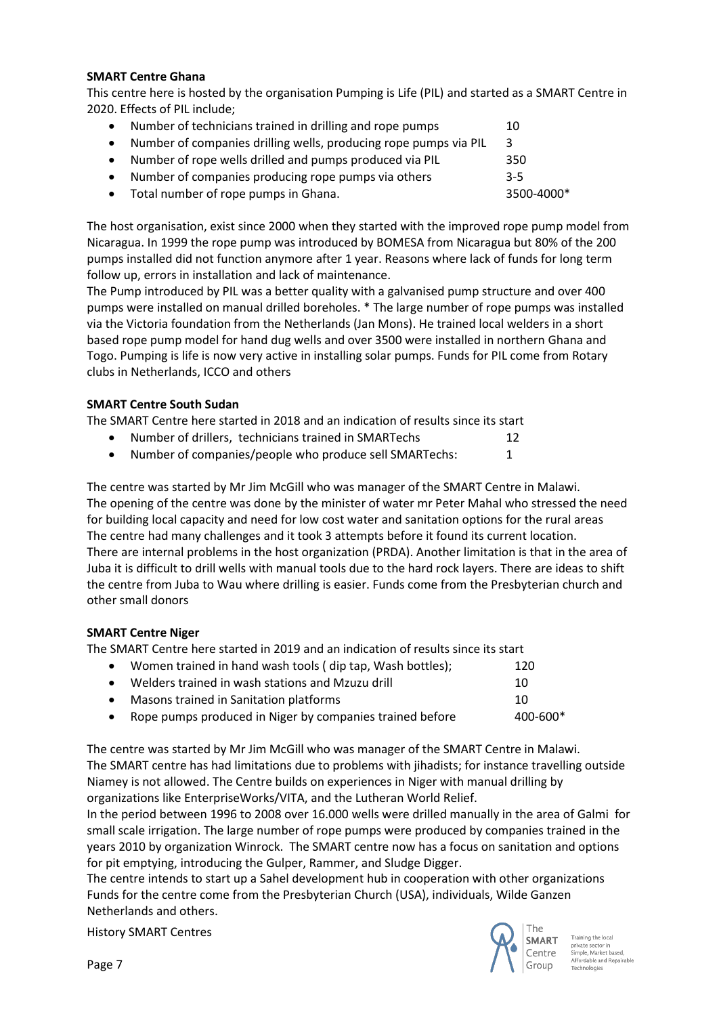#### **SMART Centre Ghana**

This centre here is hosted by the organisation Pumping is Life (PIL) and started as a SMART Centre in 2020. Effects of PIL include;

|           | Number of technicians trained in drilling and rope pumps         | 10         |
|-----------|------------------------------------------------------------------|------------|
| $\bullet$ | Number of companies drilling wells, producing rope pumps via PIL | -3.        |
| $\bullet$ | Number of rope wells drilled and pumps produced via PIL          | 350        |
|           | Number of companies producing rope pumps via others              | $3 - 5$    |
|           | • Total number of rope pumps in Ghana.                           | 3500-4000* |

The host organisation, exist since 2000 when they started with the improved rope pump model from Nicaragua. In 1999 the rope pump was introduced by BOMESA from Nicaragua but 80% of the 200 pumps installed did not function anymore after 1 year. Reasons where lack of funds for long term follow up, errors in installation and lack of maintenance.

The Pump introduced by PIL was a better quality with a galvanised pump structure and over 400 pumps were installed on manual drilled boreholes. \* The large number of rope pumps was installed via the Victoria foundation from the Netherlands (Jan Mons). He trained local welders in a short based rope pump model for hand dug wells and over 3500 were installed in northern Ghana and Togo. Pumping is life is now very active in installing solar pumps. Funds for PIL come from Rotary clubs in Netherlands, ICCO and others

## **SMART Centre South Sudan**

The SMART Centre here started in 2018 and an indication of results since its start

• Number of drillers, technicians trained in SMARTechs 12

• Number of companies/people who produce sell SMARTechs: 1

The centre was started by Mr Jim McGill who was manager of the SMART Centre in Malawi. The opening of the centre was done by the minister of water mr Peter Mahal who stressed the need for building local capacity and need for low cost water and sanitation options for the rural areas The centre had many challenges and it took 3 attempts before it found its current location. There are internal problems in the host organization (PRDA). Another limitation is that in the area of Juba it is difficult to drill wells with manual tools due to the hard rock layers. There are ideas to shift the centre from Juba to Wau where drilling is easier. Funds come from the Presbyterian church and other small donors

## **SMART Centre Niger**

The SMART Centre here started in 2019 and an indication of results since its start

| $\bullet$ | Women trained in hand wash tools (dip tap, Wash bottles);  | 120      |
|-----------|------------------------------------------------------------|----------|
| $\bullet$ | Welders trained in wash stations and Mzuzu drill           | 10       |
| $\bullet$ | Masons trained in Sanitation platforms                     | 10       |
|           | • Rope pumps produced in Niger by companies trained before | 400-600* |
|           |                                                            |          |

The centre was started by Mr Jim McGill who was manager of the SMART Centre in Malawi. The SMART centre has had limitations due to problems with jihadists; for instance travelling outside Niamey is not allowed. The Centre builds on experiences in Niger with manual drilling by organizations like EnterpriseWorks/VITA, and the Lutheran World Relief.

In the period between 1996 to 2008 over 16.000 wells were drilled manually in the area of Galmi for small scale irrigation. The large number of rope pumps were produced by companies trained in the years 2010 by organization Winrock. The SMART centre now has a focus on sanitation and options for pit emptying, introducing the Gulper, Rammer, and Sludge Digger.

The centre intends to start up a Sahel development hub in cooperation with other organizations Funds for the centre come from the Presbyterian Church (USA), individuals, Wilde Ganzen Netherlands and others.

History SMART Centres



private sector in<br>Simple, Market based, Affordable and Repairable Technologies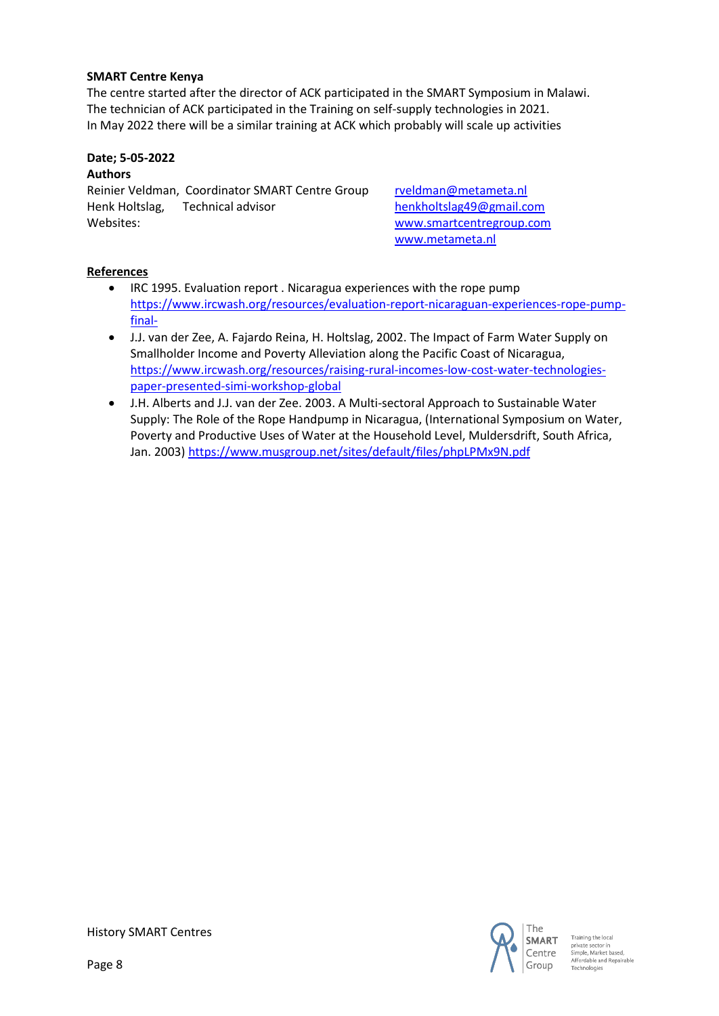#### **SMART Centre Kenya**

The centre started after the director of ACK participated in the SMART Symposium in Malawi. The technician of ACK participated in the Training on self-supply technologies in 2021. In May 2022 there will be a similar training at ACK which probably will scale up activities

## **Date; 5-05-2022**

## **Authors**

Reinier Veldman, Coordinator SMART Centre Group [rveldman@metameta.nl](mailto:rveldman@metameta.nl) Henk Holtslag, Technical advisor [henkholtslag49@gmail.com](mailto:henkholtslag49@gmail.com) Websites: [www.smartcentregroup.com](http://www.smartcentregroup.com/)

[www.metameta.nl](http://www.metameta.nl/)

## **References**

- IRC 1995. Evaluation report . Nicaragua experiences with the rope pump [https://www.ircwash.org/resources/evaluation-report-nicaraguan-experiences-rope-pump](https://www.ircwash.org/resources/evaluation-report-nicaraguan-experiences-rope-pump-final-)[final-](https://www.ircwash.org/resources/evaluation-report-nicaraguan-experiences-rope-pump-final-)
- J.J. van der Zee, A. Fajardo Reina, H. Holtslag, 2002. The Impact of Farm Water Supply on Smallholder Income and Poverty Alleviation along the Pacific Coast of Nicaragua, [https://www.ircwash.org/resources/raising-rural-incomes-low-cost-water-technologies](https://www.ircwash.org/resources/raising-rural-incomes-low-cost-water-technologies-paper-presented-simi-workshop-global)[paper-presented-simi-workshop-global](https://www.ircwash.org/resources/raising-rural-incomes-low-cost-water-technologies-paper-presented-simi-workshop-global)
- J.H. Alberts and J.J. van der Zee. 2003. A Multi-sectoral Approach to Sustainable Water Supply: The Role of the Rope Handpump in Nicaragua, (International Symposium on Water, Poverty and Productive Uses of Water at the Household Level, Muldersdrift, South Africa, Jan. 2003)<https://www.musgroup.net/sites/default/files/phpLPMx9N.pdf>



Training the local private sector in<br>Simple, Market based, Affordable and Repairable Technologies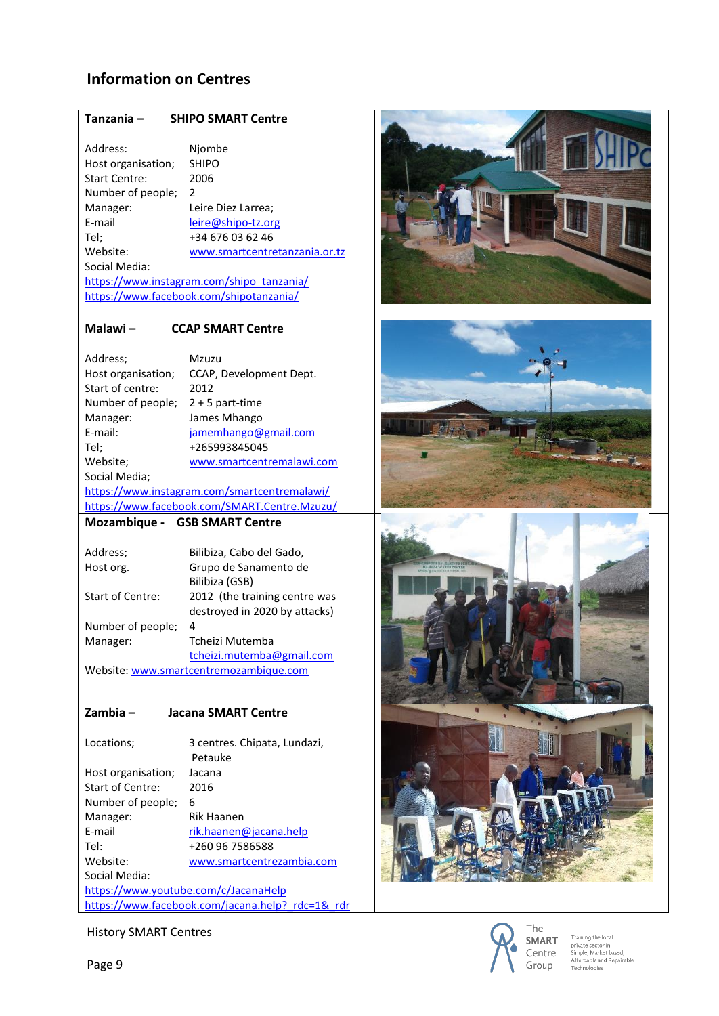## **Information on Centres**

#### **Tanzania – SHIPO SMART Centre**

Address: Njombe Host organisation; SHIPO Start Centre: 2006 Number of people; 2 Manager: Leire Diez Larrea;<br>E-mail leire @shipo-tz.or [leire@shipo-tz.org](mailto:leire@shipo-tz.org) Tel; +34 676 03 62 46 Website: [www.smartcentretanzania.or.tz](http://www.smartcentretanzania.or.tz/) Social Media:

[https://www.instagram.com/shipo\\_tanzania/](https://www.instagram.com/shipo_tanzania/) <https://www.facebook.com/shipotanzania/>

#### **Malawi – CCAP SMART Centre**

| Address;                                     | Mzuzu                     |
|----------------------------------------------|---------------------------|
| Host organisation;                           | CCAP, Development Dept.   |
| Start of centre:                             | 2012                      |
| Number of people;                            | $2 + 5$ part-time         |
| Manager:                                     | James Mhango              |
| F-mail:                                      | jamemhango@gmail.com      |
| Tel;                                         | +265993845045             |
| Website;                                     | www.smartcentremalawi.com |
| Social Media;                                |                           |
| https://www.instagram.com/smartcentremalawi/ |                           |

<https://www.facebook.com/SMART.Centre.Mzuzu/>

#### **Mozambique - GSB SMART Centre**

| Address:                               | Bilibiza, Cabo del Gado,      |
|----------------------------------------|-------------------------------|
|                                        |                               |
| Host org.                              | Grupo de Sanamento de         |
|                                        | Bilibiza (GSB)                |
| <b>Start of Centre:</b>                | 2012 (the training centre was |
|                                        | destroyed in 2020 by attacks) |
| Number of people;                      | 4                             |
| Manager:                               | Tcheizi Mutemba               |
|                                        | tcheizi.mutemba@gmail.com     |
| Website: www.smartcentremozambique.com |                               |

#### **Zambia – Jacana SMART Centre**

Locations; 3 centres. Chipata, Lundazi, Petauke Host organisation; Jacana Start of Centre: 2016 Number of people; 6 Manager: Rik Haanen E-mail [rik.haanen@jacana.help](mailto:rik.haanen@jacana.help)<br>Tel: +260 96 7586588 +260 96 7586588 Website: [www.smartcentrezambia.com](http://www.smartcentrezambia.com/) Social Media: <https://www.youtube.com/c/JacanaHelp> https://www.facebook.com/jacana.help? rdc=1& rdr











Training the local<br>private sector in<br>Simple, Market based, Affordable and Repairable Technologies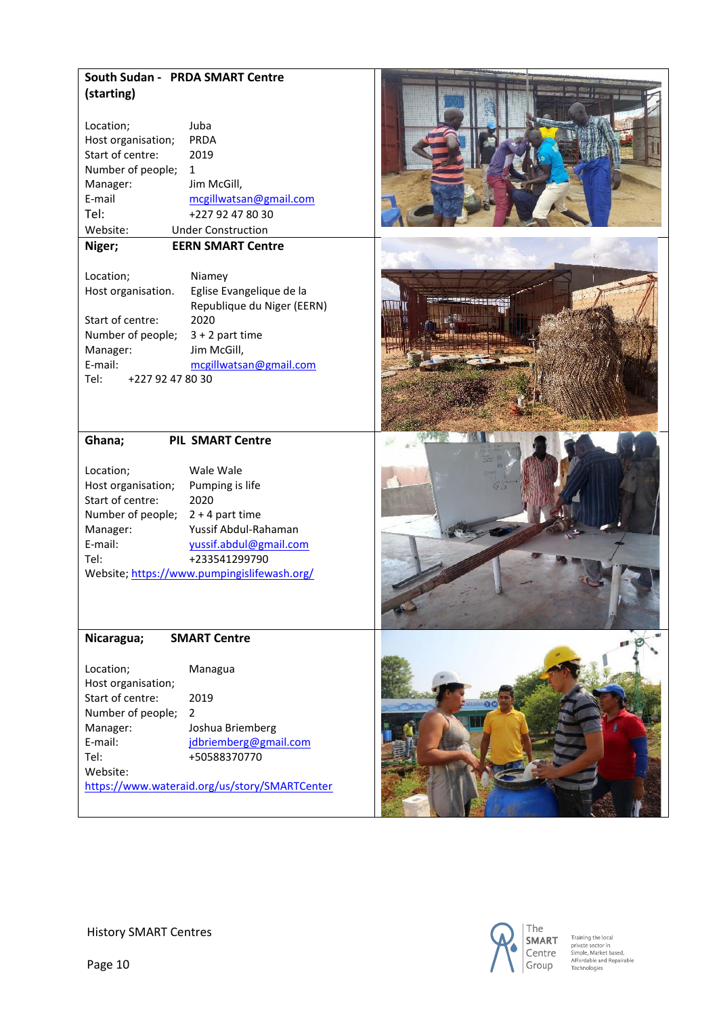## **South Sudan - PRDA SMART Centre (starting)**

| Location;          | Juba                      |
|--------------------|---------------------------|
| Host organisation; | PRDA                      |
| Start of centre:   | 2019                      |
| Number of people;  | 1                         |
| Manager:           | Jim McGill,               |
| E-mail             | mcgillwatsan@gmail.com    |
| Tel:               | +227 92 47 80 30          |
| Website:           | <b>Under Construction</b> |

## **Niger; EERN SMART Centre**

| Location;                | Niamey                     |
|--------------------------|----------------------------|
| Host organisation.       | Eglise Evangelique de la   |
|                          | Republique du Niger (EERN) |
| Start of centre:         | 2020                       |
| Number of people;        | $3 + 2$ part time          |
| Manager:                 | Jim McGill,                |
| E-mail:                  | mcgillwatsan@gmail.com     |
| Tel:<br>+227 92 47 80 30 |                            |

## **Ghana; PIL SMART Centre**

| Location;          | Wale Wale                                   |
|--------------------|---------------------------------------------|
| Host organisation; | Pumping is life                             |
| Start of centre:   | 2020                                        |
| Number of people;  | $2 + 4$ part time                           |
| Manager:           | Yussif Abdul-Rahaman                        |
| E-mail:            | yussif.abdul@gmail.com                      |
| Tel:               | +233541299790                               |
|                    | Website; https://www.pumpingislifewash.org/ |

#### **Nicaragua; SMART Centre**

| Location;          | Managua                                       |
|--------------------|-----------------------------------------------|
| Host organisation; |                                               |
| Start of centre:   | 2019                                          |
| Number of people;  | 2                                             |
| Manager:           | Joshua Briemberg                              |
| E-mail:            | jdbriemberg@gmail.com                         |
| Tel:               | +50588370770                                  |
| Website:           |                                               |
|                    | https://www.wateraid.org/us/story/SMARTCenter |











Training the local<br>private sector in<br>Simple, Market based,<br>Affordable and Repairable<br>Technologies